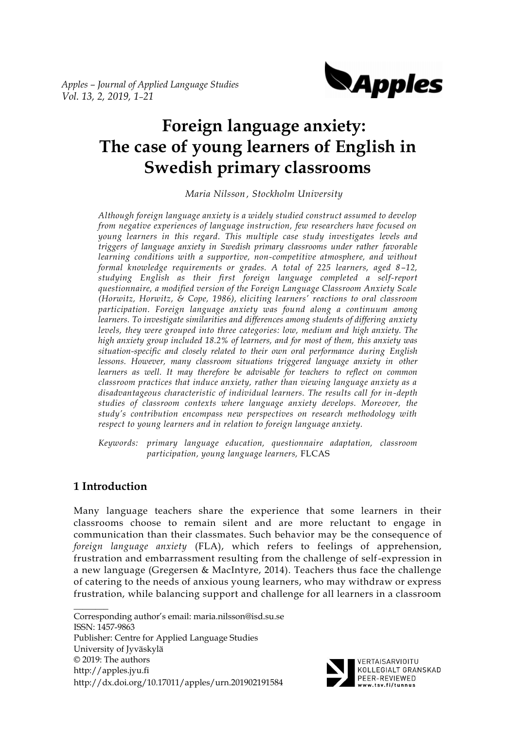

# **Foreign language anxiety: The case of young learners of English in Swedish primary classrooms**

*Maria Nilsson , Stockholm University*

*Although foreign language anxiety is a widely studied construct assumed to develop from negative experiences of language instruction, few researchers have focused on young learners in this regard. This multiple case study investigates levels and triggers of language anxiety in Swedish primary classrooms under rather favorable learning conditions with a supportive, non-competitive atmosphere, and without formal knowledge requirements or grades. A total of 225 learners, aged 8–12, studying English as their first foreign language completed a self-report questionnaire, a modified version of the Foreign Language Classroom Anxiety Scale (Horwitz, Horwitz, & Cope, 1986), eliciting learners' reactions to oral classroom participation. Foreign language anxiety was found along a continuum among learners. To investigate similarities and differences among students of differing anxiety levels, they were grouped into three categories: low, medium and high anxiety. The high anxiety group included 18.2% of learners, and for most of them, this anxiety was situation-specific and closely related to their own oral performance during English lessons. However, many classroom situations triggered language anxiety in other learners as well. It may therefore be advisable for teachers to reflect on common classroom practices that induce anxiety, rather than viewing language anxiety as a disadvantageous characteristic of individual learners. The results call for in-depth studies of classroom contexts where language anxiety develops. Moreover, the study's contribution encompass new perspectives on research methodology with respect to young learners and in relation to foreign language anxiety.*

*Keywords: primary language education, questionnaire adaptation, classroom participation, young language learners,* FLCAS

## **1 Introduction**

Many language teachers share the experience that some learners in their classrooms choose to remain silent and are more reluctant to engage in communication than their classmates. Such behavior may be the consequence of *foreign language anxiety* (FLA), which refers to feelings of apprehension, frustration and embarrassment resulting from the challenge of self-expression in a new language (Gregersen & MacIntyre, 2014). Teachers thus face the challenge of catering to the needs of anxious young learners, who may withdraw or express frustration, while balancing support and challenge for all learners in a classroom

 $\overline{\phantom{a}}$ Corresponding author's email: maria.nilsson@isd.su.se ISSN: 1457-9863 Publisher: Centre for Applied Language Studies University of Jyväskylä © 2019: The authors http://apples.jyu.fi http://dx.doi.org/10.17011/apples/urn.201902191584



VERTAISARVIOITU KOLLEGIALT GRANSKAD PEER-REVIEWED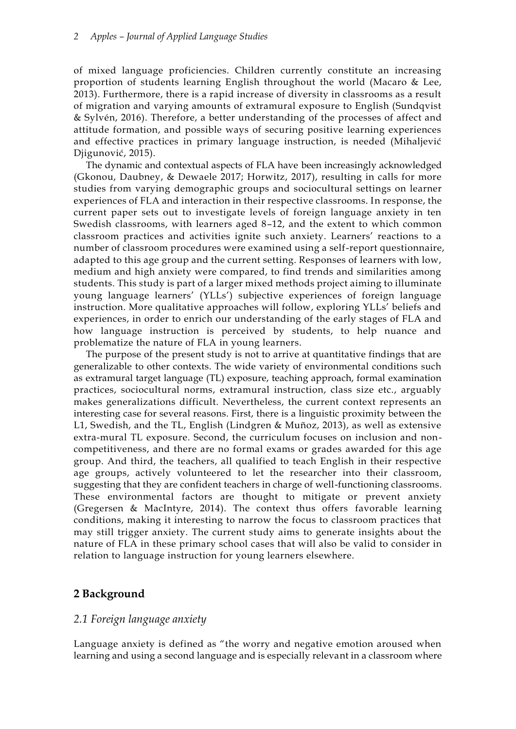of mixed language proficiencies. Children currently constitute an increasing proportion of students learning English throughout the world (Macaro & Lee, 2013). Furthermore, there is a rapid increase of diversity in classrooms as a result of migration and varying amounts of extramural exposure to English (Sundqvist & Sylvén, 2016). Therefore, a better understanding of the processes of affect and attitude formation, and possible ways of securing positive learning experiences and effective practices in primary language instruction, is needed (Mihaljević Djigunović, 2015).

The dynamic and contextual aspects of FLA have been increasingly acknowledged (Gkonou, Daubney, & Dewaele 2017; Horwitz, 2017), resulting in calls for more studies from varying demographic groups and sociocultural settings on learner experiences of FLA and interaction in their respective classrooms. In response, the current paper sets out to investigate levels of foreign language anxiety in ten Swedish classrooms, with learners aged 8–12, and the extent to which common classroom practices and activities ignite such anxiety. Learners' reactions to a number of classroom procedures were examined using a self-report questionnaire, adapted to this age group and the current setting. Responses of learners with low, medium and high anxiety were compared, to find trends and similarities among students. This study is part of a larger mixed methods project aiming to illuminate young language learners' (YLLs') subjective experiences of foreign language instruction. More qualitative approaches will follow, exploring YLLs' beliefs and experiences, in order to enrich our understanding of the early stages of FLA and how language instruction is perceived by students, to help nuance and problematize the nature of FLA in young learners.

The purpose of the present study is not to arrive at quantitative findings that are generalizable to other contexts. The wide variety of environmental conditions such as extramural target language (TL) exposure, teaching approach, formal examination practices, sociocultural norms, extramural instruction, class size etc., arguably makes generalizations difficult. Nevertheless, the current context represents an interesting case for several reasons. First, there is a linguistic proximity between the L1, Swedish, and the TL, English (Lindgren & Muñoz, 2013), as well as extensive extra-mural TL exposure. Second, the curriculum focuses on inclusion and noncompetitiveness, and there are no formal exams or grades awarded for this age group. And third, the teachers, all qualified to teach English in their respective age groups, actively volunteered to let the researcher into their classroom, suggesting that they are confident teachers in charge of well-functioning classrooms. These environmental factors are thought to mitigate or prevent anxiety (Gregersen & MacIntyre, 2014). The context thus offers favorable learning conditions, making it interesting to narrow the focus to classroom practices that may still trigger anxiety. The current study aims to generate insights about the nature of FLA in these primary school cases that will also be valid to consider in relation to language instruction for young learners elsewhere.

## **2 Background**

## *2.1 Foreign language anxiety*

Language anxiety is defined as "the worry and negative emotion aroused when learning and using a second language and is especially relevant in a classroom where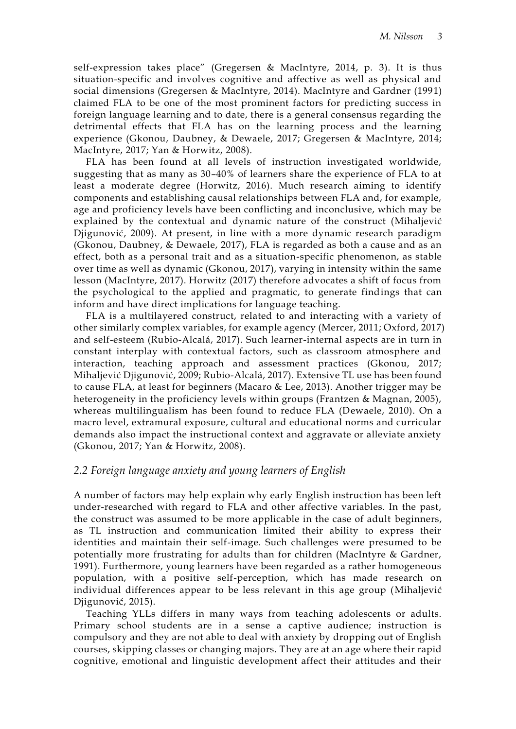self-expression takes place" (Gregersen & MacIntyre, 2014, p. 3). It is thus situation-specific and involves cognitive and affective as well as physical and social dimensions (Gregersen & MacIntyre, 2014). MacIntyre and Gardner (1991) claimed FLA to be one of the most prominent factors for predicting success in foreign language learning and to date, there is a general consensus regarding the detrimental effects that FLA has on the learning process and the learning experience (Gkonou, Daubney, & Dewaele, 2017; Gregersen & MacIntyre, 2014; MacIntyre, 2017; Yan & Horwitz, 2008).

FLA has been found at all levels of instruction investigated worldwide, suggesting that as many as 30–40% of learners share the experience of FLA to at least a moderate degree (Horwitz, 2016). Much research aiming to identify components and establishing causal relationships between FLA and, for example, age and proficiency levels have been conflicting and inconclusive, which may be explained by the contextual and dynamic nature of the construct (Mihaljević Djigunović, 2009). At present, in line with a more dynamic research paradigm (Gkonou, Daubney, & Dewaele, 2017), FLA is regarded as both a cause and as an effect, both as a personal trait and as a situation-specific phenomenon, as stable over time as well as dynamic (Gkonou, 2017), varying in intensity within the same lesson (MacIntyre, 2017). Horwitz (2017) therefore advocates a shift of focus from the psychological to the applied and pragmatic, to generate findings that can inform and have direct implications for language teaching.

FLA is a multilayered construct, related to and interacting with a variety of other similarly complex variables, for example agency (Mercer, 2011; Oxford, 2017) and self-esteem (Rubio-Alcalá, 2017). Such learner-internal aspects are in turn in constant interplay with contextual factors, such as classroom atmosphere and interaction, teaching approach and assessment practices (Gkonou, 2017; Mihaljević Djigunović, 2009; Rubio-Alcalá, 2017). Extensive TL use has been found to cause FLA, at least for beginners (Macaro & Lee, 2013). Another trigger may be heterogeneity in the proficiency levels within groups (Frantzen & Magnan, 2005), whereas multilingualism has been found to reduce FLA (Dewaele, 2010). On a macro level, extramural exposure, cultural and educational norms and curricular demands also impact the instructional context and aggravate or alleviate anxiety (Gkonou, 2017; Yan & Horwitz, 2008).

## *2.2 Foreign language anxiety and young learners of English*

A number of factors may help explain why early English instruction has been left under-researched with regard to FLA and other affective variables. In the past, the construct was assumed to be more applicable in the case of adult beginners, as TL instruction and communication limited their ability to express their identities and maintain their self-image. Such challenges were presumed to be potentially more frustrating for adults than for children (MacIntyre & Gardner, 1991). Furthermore, young learners have been regarded as a rather homogeneous population, with a positive self-perception, which has made research on individual differences appear to be less relevant in this age group (Mihaljević Djigunović, 2015).

Teaching YLLs differs in many ways from teaching adolescents or adults. Primary school students are in a sense a captive audience; instruction is compulsory and they are not able to deal with anxiety by dropping out of English courses, skipping classes or changing majors. They are at an age where their rapid cognitive, emotional and linguistic development affect their attitudes and their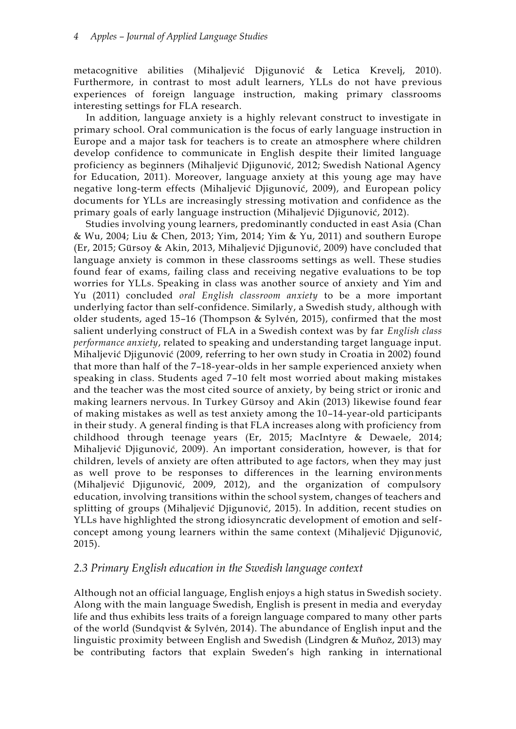metacognitive abilities (Mihaljević Djigunović & Letica Krevelj, 2010). Furthermore, in contrast to most adult learners, YLLs do not have previous experiences of foreign language instruction, making primary classrooms interesting settings for FLA research.

In addition, language anxiety is a highly relevant construct to investigate in primary school. Oral communication is the focus of early language instruction in Europe and a major task for teachers is to create an atmosphere where children develop confidence to communicate in English despite their limited language proficiency as beginners (Mihaljević Djigunović, 2012; Swedish National Agency for Education, 2011). Moreover, language anxiety at this young age may have negative long-term effects (Mihaljević Djigunović, 2009), and European policy documents for YLLs are increasingly stressing motivation and confidence as the primary goals of early language instruction (Mihaljević Djigunović, 2012).

Studies involving young learners, predominantly conducted in east Asia (Chan & Wu, 2004; Liu & Chen, 2013; Yim, 2014; Yim & Yu, 2011) and southern Europe (Er, 2015; Gürsoy & Akin, 2013, Mihaljević Djigunović, 2009) have concluded that language anxiety is common in these classrooms settings as well. These studies found fear of exams, failing class and receiving negative evaluations to be top worries for YLLs. Speaking in class was another source of anxiety and Yim and Yu (2011) concluded *oral English classroom anxiety* to be a more important underlying factor than self-confidence. Similarly, a Swedish study, although with older students, aged 15–16 (Thompson & Sylvén, 2015), confirmed that the most salient underlying construct of FLA in a Swedish context was by far *English class performance anxiety*, related to speaking and understanding target language input. Mihaljević Djigunović (2009, referring to her own study in Croatia in 2002) found that more than half of the 7–18-year-olds in her sample experienced anxiety when speaking in class. Students aged 7–10 felt most worried about making mistakes and the teacher was the most cited source of anxiety, by being strict or ironic and making learners nervous. In Turkey Gürsoy and Akin (2013) likewise found fear of making mistakes as well as test anxiety among the 10–14-year-old participants in their study. A general finding is that FLA increases along with proficiency from childhood through teenage years (Er, 2015; MacIntyre & Dewaele, 2014; Mihaljević Djigunović, 2009). An important consideration, however, is that for children, levels of anxiety are often attributed to age factors, when they may just as well prove to be responses to differences in the learning environments (Mihaljević Djigunović, 2009, 2012), and the organization of compulsory education, involving transitions within the school system, changes of teachers and splitting of groups (Mihaljević Djigunović, 2015). In addition, recent studies on YLLs have highlighted the strong idiosyncratic development of emotion and selfconcept among young learners within the same context (Mihaljević Djigunović, 2015).

## *2.3 Primary English education in the Swedish language context*

Although not an official language, English enjoys a high status in Swedish society. Along with the main language Swedish, English is present in media and everyday life and thus exhibits less traits of a foreign language compared to many other parts of the world (Sundqvist & Sylvén, 2014). The abundance of English input and the linguistic proximity between English and Swedish (Lindgren & Muñoz, 2013) may be contributing factors that explain Sweden's high ranking in international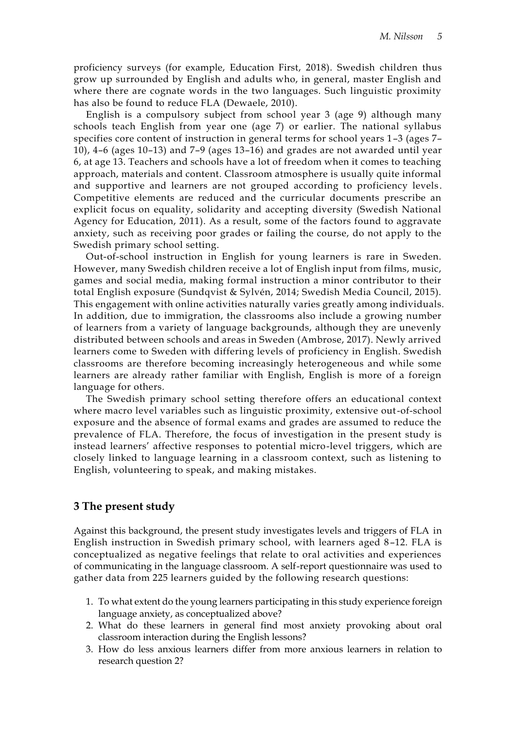proficiency surveys (for example, Education First, 2018). Swedish children thus grow up surrounded by English and adults who, in general, master English and where there are cognate words in the two languages. Such linguistic proximity has also be found to reduce FLA (Dewaele, 2010).

English is a compulsory subject from school year 3 (age 9) although many schools teach English from year one (age 7) or earlier. The national syllabus specifies core content of instruction in general terms for school years 1–3 (ages 7– 10), 4–6 (ages 10–13) and 7–9 (ages 13–16) and grades are not awarded until year 6, at age 13. Teachers and schools have a lot of freedom when it comes to teaching approach, materials and content. Classroom atmosphere is usually quite informal and supportive and learners are not grouped according to proficiency levels . Competitive elements are reduced and the curricular documents prescribe an explicit focus on equality, solidarity and accepting diversity (Swedish National Agency for Education, 2011). As a result, some of the factors found to aggravate anxiety, such as receiving poor grades or failing the course, do not apply to the Swedish primary school setting.

Out-of-school instruction in English for young learners is rare in Sweden. However, many Swedish children receive a lot of English input from films, music, games and social media, making formal instruction a minor contributor to their total English exposure (Sundqvist & Sylvén, 2014; Swedish Media Council, 2015). This engagement with online activities naturally varies greatly among individuals. In addition, due to immigration, the classrooms also include a growing number of learners from a variety of language backgrounds, although they are unevenly distributed between schools and areas in Sweden (Ambrose, 2017). Newly arrived learners come to Sweden with differing levels of proficiency in English. Swedish classrooms are therefore becoming increasingly heterogeneous and while some learners are already rather familiar with English, English is more of a foreign language for others.

The Swedish primary school setting therefore offers an educational context where macro level variables such as linguistic proximity, extensive out-of-school exposure and the absence of formal exams and grades are assumed to reduce the prevalence of FLA. Therefore, the focus of investigation in the present study is instead learners' affective responses to potential micro-level triggers, which are closely linked to language learning in a classroom context, such as listening to English, volunteering to speak, and making mistakes.

## **3 The present study**

Against this background, the present study investigates levels and triggers of FLA in English instruction in Swedish primary school, with learners aged 8–12. FLA is conceptualized as negative feelings that relate to oral activities and experiences of communicating in the language classroom. A self-report questionnaire was used to gather data from 225 learners guided by the following research questions:

- 1. To what extent do the young learners participating in this study experience foreign language anxiety, as conceptualized above?
- 2. What do these learners in general find most anxiety provoking about oral classroom interaction during the English lessons?
- 3. How do less anxious learners differ from more anxious learners in relation to research question 2?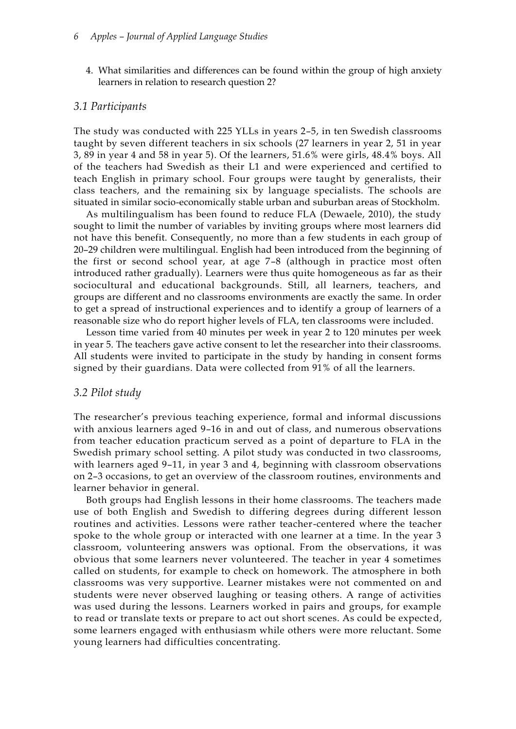4. What similarities and differences can be found within the group of high anxiety learners in relation to research question 2?

#### *3.1 Participants*

The study was conducted with 225 YLLs in years 2–5, in ten Swedish classrooms taught by seven different teachers in six schools (27 learners in year 2, 51 in year 3, 89 in year 4 and 58 in year 5). Of the learners, 51.6% were girls, 48.4% boys. All of the teachers had Swedish as their L1 and were experienced and certified to teach English in primary school. Four groups were taught by generalists, their class teachers, and the remaining six by language specialists. The schools are situated in similar socio-economically stable urban and suburban areas of Stockholm.

As multilingualism has been found to reduce FLA (Dewaele, 2010), the study sought to limit the number of variables by inviting groups where most learners did not have this benefit. Consequently, no more than a few students in each group of 20–29 children were multilingual. English had been introduced from the beginning of the first or second school year, at age 7–8 (although in practice most often introduced rather gradually). Learners were thus quite homogeneous as far as their sociocultural and educational backgrounds. Still, all learners, teachers, and groups are different and no classrooms environments are exactly the same. In order to get a spread of instructional experiences and to identify a group of learners of a reasonable size who do report higher levels of FLA, ten classrooms were included.

Lesson time varied from 40 minutes per week in year 2 to 120 minutes per week in year 5. The teachers gave active consent to let the researcher into their classrooms. All students were invited to participate in the study by handing in consent forms signed by their guardians. Data were collected from 91% of all the learners.

#### *3.2 Pilot study*

The researcher's previous teaching experience, formal and informal discussions with anxious learners aged 9–16 in and out of class, and numerous observations from teacher education practicum served as a point of departure to FLA in the Swedish primary school setting. A pilot study was conducted in two classrooms, with learners aged 9–11, in year 3 and 4, beginning with classroom observations on 2–3 occasions, to get an overview of the classroom routines, environments and learner behavior in general.

Both groups had English lessons in their home classrooms. The teachers made use of both English and Swedish to differing degrees during different lesson routines and activities. Lessons were rather teacher-centered where the teacher spoke to the whole group or interacted with one learner at a time. In the year 3 classroom, volunteering answers was optional. From the observations, it was obvious that some learners never volunteered. The teacher in year 4 sometimes called on students, for example to check on homework. The atmosphere in both classrooms was very supportive. Learner mistakes were not commented on and students were never observed laughing or teasing others. A range of activities was used during the lessons. Learners worked in pairs and groups, for example to read or translate texts or prepare to act out short scenes. As could be expected, some learners engaged with enthusiasm while others were more reluctant. Some young learners had difficulties concentrating.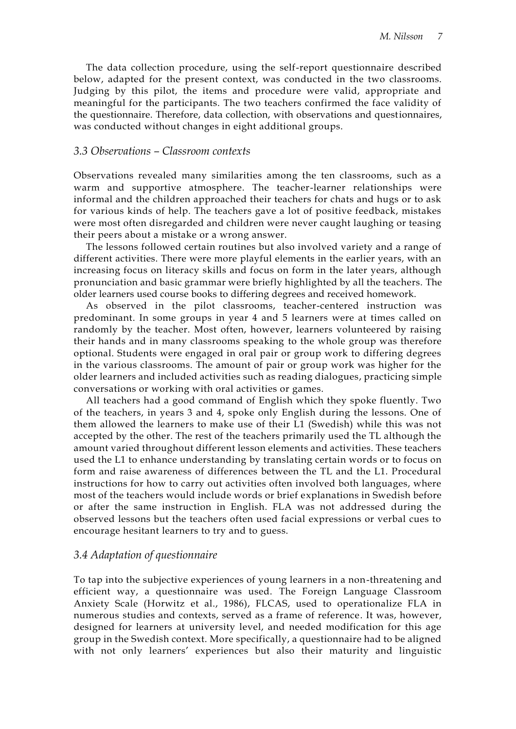The data collection procedure, using the self-report questionnaire described below, adapted for the present context, was conducted in the two classrooms. Judging by this pilot, the items and procedure were valid, appropriate and meaningful for the participants. The two teachers confirmed the face validity of the questionnaire. Therefore, data collection, with observations and questionnaires, was conducted without changes in eight additional groups.

## *3.3 Observations – Classroom contexts*

Observations revealed many similarities among the ten classrooms, such as a warm and supportive atmosphere. The teacher-learner relationships were informal and the children approached their teachers for chats and hugs or to ask for various kinds of help. The teachers gave a lot of positive feedback, mistakes were most often disregarded and children were never caught laughing or teasing their peers about a mistake or a wrong answer.

The lessons followed certain routines but also involved variety and a range of different activities. There were more playful elements in the earlier years, with an increasing focus on literacy skills and focus on form in the later years, although pronunciation and basic grammar were briefly highlighted by all the teachers. The older learners used course books to differing degrees and received homework.

As observed in the pilot classrooms, teacher-centered instruction was predominant. In some groups in year 4 and 5 learners were at times called on randomly by the teacher. Most often, however, learners volunteered by raising their hands and in many classrooms speaking to the whole group was therefore optional. Students were engaged in oral pair or group work to differing degrees in the various classrooms. The amount of pair or group work was higher for the older learners and included activities such as reading dialogues, practicing simple conversations or working with oral activities or games.

All teachers had a good command of English which they spoke fluently. Two of the teachers, in years 3 and 4, spoke only English during the lessons. One of them allowed the learners to make use of their L1 (Swedish) while this was not accepted by the other. The rest of the teachers primarily used the TL although the amount varied throughout different lesson elements and activities. These teachers used the L1 to enhance understanding by translating certain words or to focus on form and raise awareness of differences between the TL and the L1. Procedural instructions for how to carry out activities often involved both languages, where most of the teachers would include words or brief explanations in Swedish before or after the same instruction in English. FLA was not addressed during the observed lessons but the teachers often used facial expressions or verbal cues to encourage hesitant learners to try and to guess.

## *3.4 Adaptation of questionnaire*

To tap into the subjective experiences of young learners in a non-threatening and efficient way, a questionnaire was used. The Foreign Language Classroom Anxiety Scale (Horwitz et al., 1986), FLCAS, used to operationalize FLA in numerous studies and contexts, served as a frame of reference. It was, however, designed for learners at university level, and needed modification for this age group in the Swedish context. More specifically, a questionnaire had to be aligned with not only learners' experiences but also their maturity and linguistic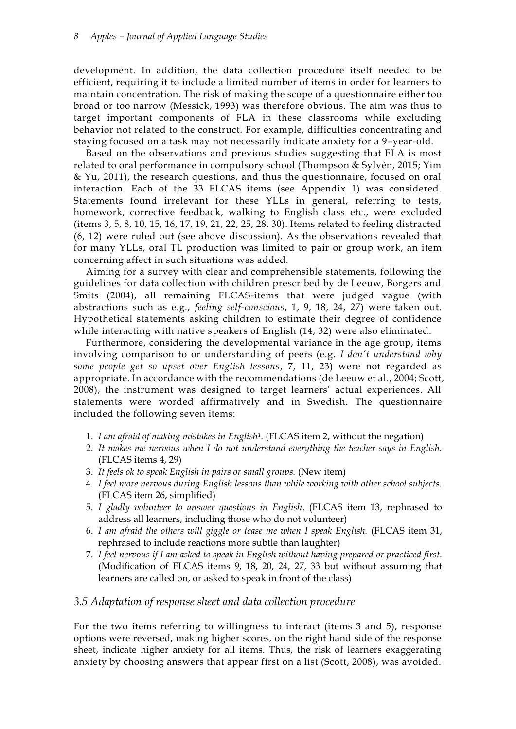development. In addition, the data collection procedure itself needed to be efficient, requiring it to include a limited number of items in order for learners to maintain concentration. The risk of making the scope of a questionnaire either too broad or too narrow (Messick, 1993) was therefore obvious. The aim was thus to target important components of FLA in these classrooms while excluding behavior not related to the construct. For example, difficulties concentrating and staying focused on a task may not necessarily indicate anxiety for a 9–year-old.

Based on the observations and previous studies suggesting that FLA is most related to oral performance in compulsory school (Thompson & Sylvén, 2015; Yim & Yu, 2011), the research questions, and thus the questionnaire, focused on oral interaction. Each of the 33 FLCAS items (see Appendix 1) was considered. Statements found irrelevant for these YLLs in general, referring to tests, homework, corrective feedback, walking to English class etc., were excluded (items 3, 5, 8, 10, 15, 16, 17, 19, 21, 22, 25, 28, 30). Items related to feeling distracted (6, 12) were ruled out (see above discussion). As the observations revealed that for many YLLs, oral TL production was limited to pair or group work, an item concerning affect in such situations was added.

Aiming for a survey with clear and comprehensible statements, following the guidelines for data collection with children prescribed by de Leeuw, Borgers and Smits (2004), all remaining FLCAS-items that were judged vague (with abstractions such as e.g., *feeling self-conscious*, 1, 9, 18, 24, 27) were taken out. Hypothetical statements asking children to estimate their degree of confidence while interacting with native speakers of English (14, 32) were also eliminated.

Furthermore, considering the developmental variance in the age group, items involving comparison to or understanding of peers (e.g. *I don't understand why some people get so upset over English lessons*, 7, 11, 23) were not regarded as appropriate. In accordance with the recommendations (de Leeuw et al., 2004; Scott, 2008), the instrument was designed to target learners' actual experiences. All statements were worded affirmatively and in Swedish. The questionnaire included the following seven items:

- 1. *I am afraid of making mistakes in English1.* (FLCAS item 2, without the negation)
- 2. *It makes me nervous when I do not understand everything the teacher says in English.* (FLCAS items 4, 29)
- 3. *It feels ok to speak English in pairs or small groups.* (New item)
- 4. *I feel more nervous during English lessons than while working with other school subjects.* (FLCAS item 26, simplified)
- 5. *I gladly volunteer to answer questions in English*. (FLCAS item 13, rephrased to address all learners, including those who do not volunteer)
- 6. *I am afraid the others will giggle or tease me when I speak English.* (FLCAS item 31, rephrased to include reactions more subtle than laughter)
- 7. *I feel nervous if I am asked to speak in English without having prepared or practiced first.* (Modification of FLCAS items 9, 18, 20, 24, 27, 33 but without assuming that learners are called on, or asked to speak in front of the class)

## *3.5 Adaptation of response sheet and data collection procedure*

For the two items referring to willingness to interact (items 3 and 5), response options were reversed, making higher scores, on the right hand side of the response sheet, indicate higher anxiety for all items. Thus, the risk of learners exaggerating anxiety by choosing answers that appear first on a list (Scott, 2008), was avoided.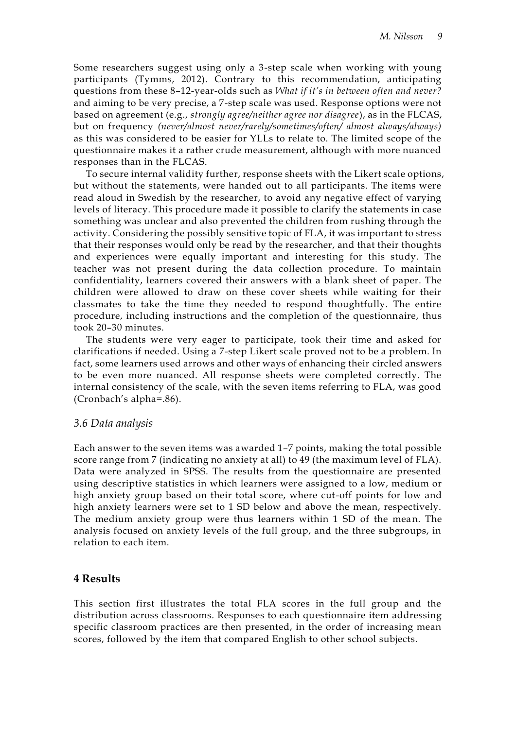Some researchers suggest using only a 3-step scale when working with young participants (Tymms, 2012). Contrary to this recommendation, anticipating questions from these 8–12-year-olds such as *What if it's in between often and never?*  and aiming to be very precise, a 7-step scale was used. Response options were not based on agreement (e.g., *strongly agree/neither agree nor disagree*), as in the FLCAS, but on frequency *(never/almost never/rarely/sometimes/often/ almost always/always)* as this was considered to be easier for YLLs to relate to. The limited scope of the questionnaire makes it a rather crude measurement, although with more nuanced responses than in the FLCAS.

To secure internal validity further, response sheets with the Likert scale options, but without the statements, were handed out to all participants. The items were read aloud in Swedish by the researcher, to avoid any negative effect of varying levels of literacy. This procedure made it possible to clarify the statements in case something was unclear and also prevented the children from rushing through the activity. Considering the possibly sensitive topic of FLA, it was important to stress that their responses would only be read by the researcher, and that their thoughts and experiences were equally important and interesting for this study. The teacher was not present during the data collection procedure. To maintain confidentiality, learners covered their answers with a blank sheet of paper. The children were allowed to draw on these cover sheets while waiting for their classmates to take the time they needed to respond thoughtfully. The entire procedure, including instructions and the completion of the questionnaire, thus took 20–30 minutes.

The students were very eager to participate, took their time and asked for clarifications if needed. Using a 7-step Likert scale proved not to be a problem. In fact, some learners used arrows and other ways of enhancing their circled answers to be even more nuanced. All response sheets were completed correctly. The internal consistency of the scale, with the seven items referring to FLA, was good (Cronbach's alpha=.86).

## *3.6 Data analysis*

Each answer to the seven items was awarded 1–7 points, making the total possible score range from 7 (indicating no anxiety at all) to 49 (the maximum level of FLA). Data were analyzed in SPSS. The results from the questionnaire are presented using descriptive statistics in which learners were assigned to a low, medium or high anxiety group based on their total score, where cut-off points for low and high anxiety learners were set to 1 SD below and above the mean, respectively. The medium anxiety group were thus learners within 1 SD of the mean. The analysis focused on anxiety levels of the full group, and the three subgroups, in relation to each item.

## **4 Results**

This section first illustrates the total FLA scores in the full group and the distribution across classrooms. Responses to each questionnaire item addressing specific classroom practices are then presented, in the order of increasing mean scores, followed by the item that compared English to other school subjects.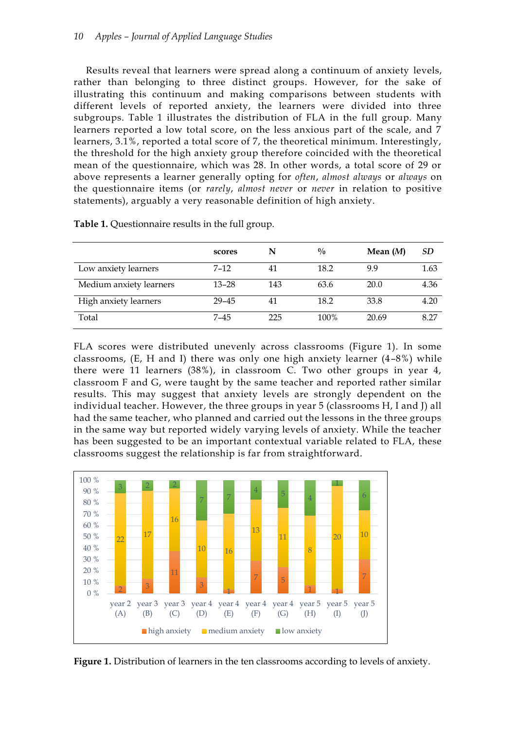Results reveal that learners were spread along a continuum of anxiety levels, rather than belonging to three distinct groups. However, for the sake of illustrating this continuum and making comparisons between students with different levels of reported anxiety, the learners were divided into three subgroups. Table 1 illustrates the distribution of FLA in the full group. Many learners reported a low total score, on the less anxious part of the scale, and 7 learners, 3.1%, reported a total score of 7, the theoretical minimum. Interestingly, the threshold for the high anxiety group therefore coincided with the theoretical mean of the questionnaire, which was 28. In other words, a total score of 29 or above represents a learner generally opting for *often*, *almost always* or *always* on the questionnaire items (or *rarely*, *almost never* or *never* in relation to positive statements), arguably a very reasonable definition of high anxiety.

|                         | scores    | N   | $\frac{0}{0}$ | Mean $(M)$ | SD   |  |
|-------------------------|-----------|-----|---------------|------------|------|--|
| Low anxiety learners    | $7 - 12$  | 41  | 18.2          | 9.9        | 1.63 |  |
| Medium anxiety learners | $13 - 28$ | 143 | 63.6          | 20.0       | 4.36 |  |
| High anxiety learners   | $29 - 45$ | 41  | 18.2          | 33.8       | 4.20 |  |
| Total                   | $7 - 45$  | 225 | 100%          | 20.69      | 8.27 |  |

**Table 1.** Questionnaire results in the full group.

FLA scores were distributed unevenly across classrooms (Figure 1). In some classrooms, (E, H and I) there was only one high anxiety learner (4–8%) while there were 11 learners (38%), in classroom C. Two other groups in year 4, classroom F and G, were taught by the same teacher and reported rather similar results. This may suggest that anxiety levels are strongly dependent on the individual teacher. However, the three groups in year 5 (classrooms H, I and J) all had the same teacher, who planned and carried out the lessons in the three groups in the same way but reported widely varying levels of anxiety. While the teacher has been suggested to be an important contextual variable related to FLA, these classrooms suggest the relationship is far from straightforward.



**Figure 1.** Distribution of learners in the ten classrooms according to levels of anxiety.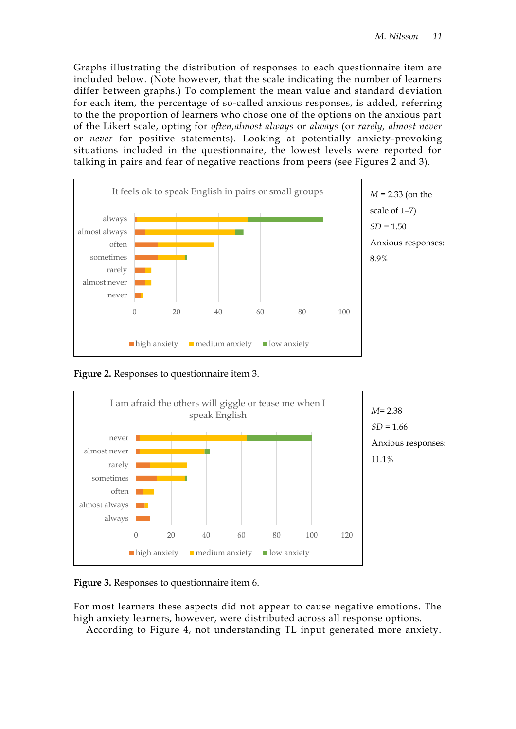Graphs illustrating the distribution of responses to each questionnaire item are included below. (Note however, that the scale indicating the number of learners differ between graphs.) To complement the mean value and standard deviation for each item, the percentage of so-called anxious responses, is added, referring to the the proportion of learners who chose one of the options on the anxious part of the Likert scale, opting for *often,almost always* or *always* (or *rarely, almost never* or *never* for positive statements). Looking at potentially anxiety-provoking situations included in the questionnaire, the lowest levels were reported for talking in pairs and fear of negative reactions from peers (see Figures 2 and 3).



**Figure 2.** Responses to questionnaire item 3.



**Figure 3.** Responses to questionnaire item 6.

For most learners these aspects did not appear to cause negative emotions. The high anxiety learners, however, were distributed across all response options.

According to Figure 4, not understanding TL input generated more anxiety.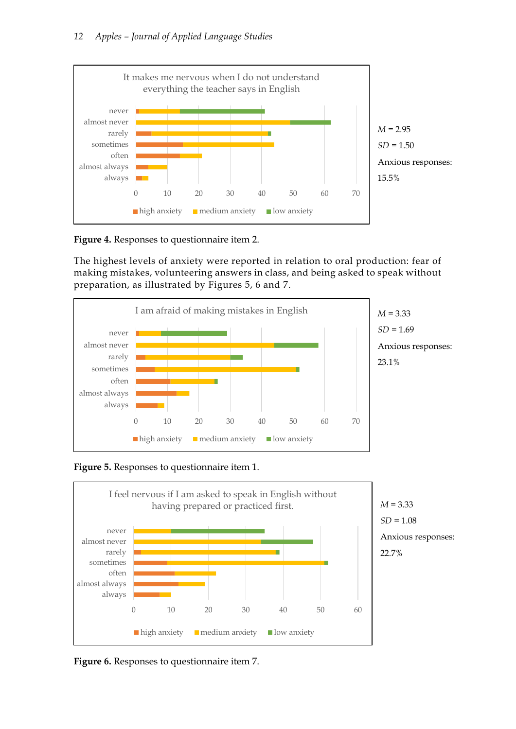

**Figure 4.** Responses to questionnaire item 2.

The highest levels of anxiety were reported in relation to oral production: fear of making mistakes, volunteering answers in class, and being asked to speak without preparation, as illustrated by Figures 5, 6 and 7.







*M* = 3.33 *SD* = 1.08 Anxious responses: 22.7%

**Figure 6.** Responses to questionnaire item 7.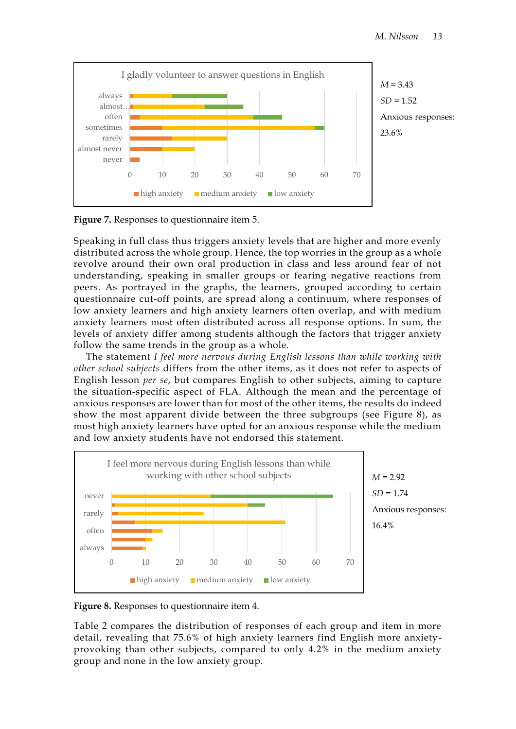

**Figure 7.** Responses to questionnaire item 5.

Speaking in full class thus triggers anxiety levels that are higher and more evenly distributed across the whole group. Hence, the top worries in the group as a whole revolve around their own oral production in class and less around fear of not understanding, speaking in smaller groups or fearing negative reactions from peers. As portrayed in the graphs, the learners, grouped according to certain questionnaire cut-off points, are spread along a continuum, where responses of low anxiety learners and high anxiety learners often overlap, and with medium anxiety learners most often distributed across all response options. In sum, the levels of anxiety differ among students although the factors that trigger anxiety follow the same trends in the group as a whole.

The statement *I feel more nervous during English lessons than while working with other school subjects* differs from the other items, as it does not refer to aspects of English lesson *per se*, but compares English to other subjects, aiming to capture the situation-specific aspect of FLA. Although the mean and the percentage of anxious responses are lower than for most of the other items, the results do indeed show the most apparent divide between the three subgroups (see Figure 8), as most high anxiety learners have opted for an anxious response while the medium and low anxiety students have not endorsed this statement.



**Figure 8.** Responses to questionnaire item 4.

Table 2 compares the distribution of responses of each group and item in more detail, revealing that 75.6% of high anxiety learners find English more anxietyprovoking than other subjects, compared to only 4.2% in the medium anxiety group and none in the low anxiety group.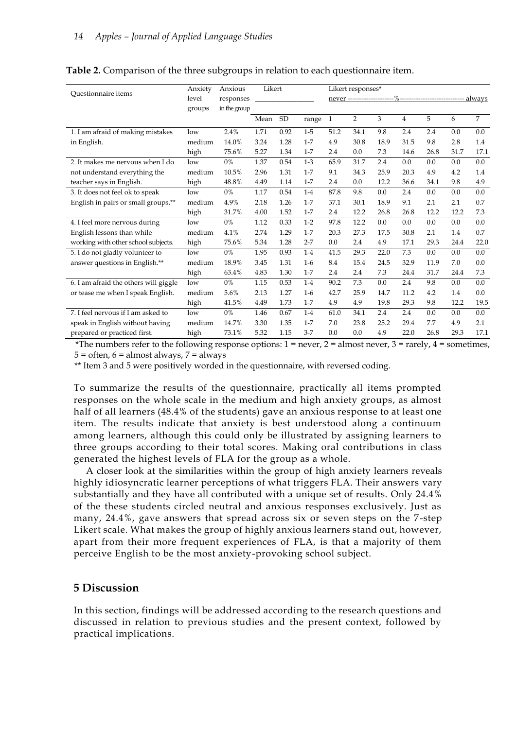|                                        | Anxiety | Likert<br>Anxious |      |           | Likert responses* |                         |                |      |                                            |      |      |      |
|----------------------------------------|---------|-------------------|------|-----------|-------------------|-------------------------|----------------|------|--------------------------------------------|------|------|------|
| Ouestionnaire items                    | level   | responses         |      |           |                   | never ----------------- |                |      | -- %----------------------------<br>always |      |      |      |
|                                        | groups  | in the group      |      |           |                   |                         |                |      |                                            |      |      |      |
|                                        |         |                   | Mean | <b>SD</b> | range             | $\mathbf{1}$            | $\overline{2}$ | 3    | $\overline{4}$                             | 5    | 6    | 7    |
| 1. I am afraid of making mistakes      | low     | 2.4%              | 1.71 | 0.92      | $1 - 5$           | 51.2                    | 34.1           | 9.8  | 2.4                                        | 2.4  | 0.0  | 0.0  |
| in English.                            | medium  | 14.0%             | 3.24 | 1.28      | $1 - 7$           | 4.9                     | 30.8           | 18.9 | 31.5                                       | 9.8  | 2.8  | 1.4  |
|                                        | high    | 75.6%             | 5.27 | 1.34      | $1 - 7$           | 2.4                     | 0.0            | 7.3  | 14.6                                       | 26.8 | 31.7 | 17.1 |
| 2. It makes me nervous when I do       | low     | 0%                | 1.37 | 0.54      | $1-3$             | 65.9                    | 31.7           | 2.4  | 0.0                                        | 0.0  | 0.0  | 0.0  |
| not understand everything the          | medium  | 10.5%             | 2.96 | 1.31      | $1 - 7$           | 9.1                     | 34.3           | 25.9 | 20.3                                       | 4.9  | 4.2  | 1.4  |
| teacher says in English.               | high    | 48.8%             | 4.49 | 1.14      | $1 - 7$           | 2.4                     | 0.0            | 12.2 | 36.6                                       | 34.1 | 9.8  | 4.9  |
| 3. It does not feel ok to speak        | low     | 0%                | 1.17 | 0.54      | $1-4$             | 87.8                    | 9.8            | 0.0  | 2.4                                        | 0.0  | 0.0  | 0.0  |
| English in pairs or small groups.**    | medium  | 4.9%              | 2.18 | 1.26      | $1 - 7$           | 37.1                    | 30.1           | 18.9 | 9.1                                        | 2.1  | 2.1  | 0.7  |
|                                        | high    | 31.7%             | 4.00 | 1.52      | $1 - 7$           | 2.4                     | 12.2           | 26.8 | 26.8                                       | 12.2 | 12.2 | 7.3  |
| 4. I feel more nervous during          | low     | 0%                | 1.12 | 0.33      | $1-2$             | 97.8                    | 12.2           | 0.0  | 0.0                                        | 0.0  | 0.0  | 0.0  |
| English lessons than while             | medium  | 4.1%              | 2.74 | 1.29      | $1 - 7$           | 20.3                    | 27.3           | 17.5 | 30.8                                       | 2.1  | 1.4  | 0.7  |
| working with other school subjects.    | high    | 75.6%             | 5.34 | 1.28      | $2 - 7$           | 0.0                     | 2.4            | 4.9  | 17.1                                       | 29.3 | 24.4 | 22.0 |
| 5. I do not gladly volunteer to        | low     | 0%                | 1.95 | 0.93      | $1-4$             | 41.5                    | 29.3           | 22.0 | 7.3                                        | 0.0  | 0.0  | 0.0  |
| answer questions in English.**         | medium  | 18.9%             | 3.45 | 1.31      | $1-6$             | 8.4                     | 15.4           | 24.5 | 32.9                                       | 11.9 | 7.0  | 0.0  |
|                                        | high    | 63.4%             | 4.83 | 1.30      | $1 - 7$           | 2.4                     | 2.4            | 7.3  | 24.4                                       | 31.7 | 24.4 | 7.3  |
| $6.1$ am afraid the others will giggle | low     | $0\%$             | 1.15 | 0.53      | $1 - 4$           | 90.2                    | 7.3            | 0.0  | 2.4                                        | 9.8  | 0.0  | 0.0  |
| or tease me when I speak English.      | medium  | 5.6%              | 2.13 | 1.27      | $1-6$             | 42.7                    | 25.9           | 14.7 | 11.2                                       | 4.2  | 1.4  | 0.0  |
|                                        | high    | 41.5%             | 4.49 | 1.73      | $1 - 7$           | 4.9                     | 4.9            | 19.8 | 29.3                                       | 9.8  | 12.2 | 19.5 |
| 7. I feel nervous if I am asked to     | low     | 0%                | 1.46 | 0.67      | $1-4$             | 61.0                    | 34.1           | 2.4  | 2.4                                        | 0.0  | 0.0  | 0.0  |
| speak in English without having        | medium  | 14.7%             | 3.30 | 1.35      | $1 - 7$           | 7.0                     | 23.8           | 25.2 | 29.4                                       | 7.7  | 4.9  | 2.1  |
| prepared or practiced first.           | high    | 73.1%             | 5.32 | 1.15      | $3 - 7$           | 0.0                     | 0.0            | 4.9  | 22.0                                       | 26.8 | 29.3 | 17.1 |

#### **Table 2.** Comparison of the three subgroups in relation to each questionnaire item.

\*The numbers refer to the following response options:  $1 =$  never,  $2 =$  almost never,  $3 =$  rarely,  $4 =$  sometimes,  $5 =$  often,  $6 =$  almost always,  $7 =$  always

\*\* Item 3 and 5 were positively worded in the questionnaire, with reversed coding.

To summarize the results of the questionnaire, practically all items prompted responses on the whole scale in the medium and high anxiety groups, as almost half of all learners (48.4% of the students) gave an anxious response to at least one item. The results indicate that anxiety is best understood along a continuum among learners, although this could only be illustrated by assigning learners to three groups according to their total scores. Making oral contributions in class generated the highest levels of FLA for the group as a whole.

A closer look at the similarities within the group of high anxiety learners reveals highly idiosyncratic learner perceptions of what triggers FLA. Their answers vary substantially and they have all contributed with a unique set of results. Only 24.4% of the these students circled neutral and anxious responses exclusively. Just as many, 24.4%, gave answers that spread across six or seven steps on the 7-step Likert scale. What makes the group of highly anxious learners stand out, however, apart from their more frequent experiences of FLA, is that a majority of them perceive English to be the most anxiety-provoking school subject.

## **5 Discussion**

In this section, findings will be addressed according to the research questions and discussed in relation to previous studies and the present context, followed by practical implications.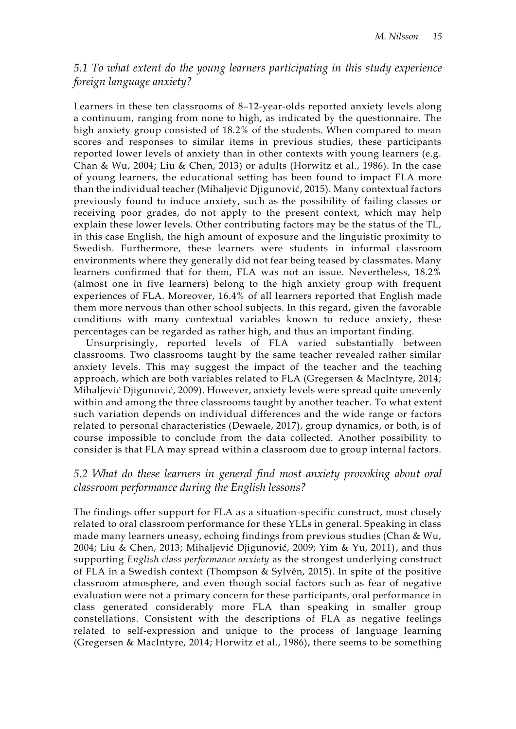## *5.1 To what extent do the young learners participating in this study experience foreign language anxiety?*

Learners in these ten classrooms of 8–12-year-olds reported anxiety levels along a continuum, ranging from none to high, as indicated by the questionnaire. The high anxiety group consisted of 18.2% of the students. When compared to mean scores and responses to similar items in previous studies, these participants reported lower levels of anxiety than in other contexts with young learners (e.g. Chan & Wu, 2004; Liu & Chen, 2013) or adults (Horwitz et al., 1986). In the case of young learners, the educational setting has been found to impact FLA more than the individual teacher (Mihaljević Djigunović, 2015). Many contextual factors previously found to induce anxiety, such as the possibility of failing classes or receiving poor grades, do not apply to the present context, which may help explain these lower levels. Other contributing factors may be the status of the TL, in this case English, the high amount of exposure and the linguistic proximity to Swedish. Furthermore, these learners were students in informal classroom environments where they generally did not fear being teased by classmates. Many learners confirmed that for them, FLA was not an issue. Nevertheless, 18.2% (almost one in five learners) belong to the high anxiety group with frequent experiences of FLA. Moreover, 16.4% of all learners reported that English made them more nervous than other school subjects. In this regard, given the favorable conditions with many contextual variables known to reduce anxiety, these percentages can be regarded as rather high, and thus an important finding.

Unsurprisingly, reported levels of FLA varied substantially between classrooms. Two classrooms taught by the same teacher revealed rather similar anxiety levels. This may suggest the impact of the teacher and the teaching approach, which are both variables related to FLA (Gregersen & MacIntyre, 2014; Mihaljević Djigunović, 2009). However, anxiety levels were spread quite unevenly within and among the three classrooms taught by another teacher. To what extent such variation depends on individual differences and the wide range or factors related to personal characteristics (Dewaele, 2017), group dynamics, or both, is of course impossible to conclude from the data collected. Another possibility to consider is that FLA may spread within a classroom due to group internal factors.

## *5.2 What do these learners in general find most anxiety provoking about oral classroom performance during the English lessons?*

The findings offer support for FLA as a situation-specific construct, most closely related to oral classroom performance for these YLLs in general. Speaking in class made many learners uneasy, echoing findings from previous studies (Chan & Wu, 2004; Liu & Chen, 2013; Mihaljević Djigunović, 2009; Yim & Yu, 2011), and thus supporting *English class performance anxiety* as the strongest underlying construct of FLA in a Swedish context (Thompson & Sylvén, 2015). In spite of the positive classroom atmosphere, and even though social factors such as fear of negative evaluation were not a primary concern for these participants, oral performance in class generated considerably more FLA than speaking in smaller group constellations. Consistent with the descriptions of FLA as negative feelings related to self-expression and unique to the process of language learning (Gregersen & MacIntyre, 2014; Horwitz et al., 1986), there seems to be something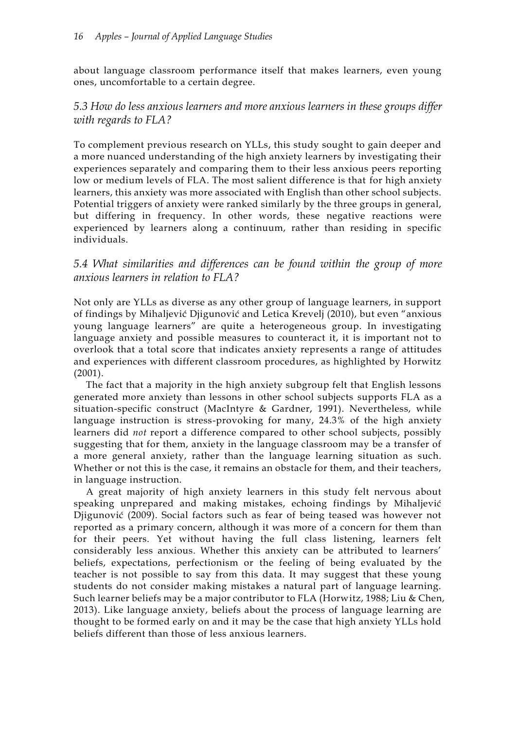about language classroom performance itself that makes learners, even young ones, uncomfortable to a certain degree.

## *5.3 How do less anxious learners and more anxious learners in these groups differ with regards to FLA?*

To complement previous research on YLLs, this study sought to gain deeper and a more nuanced understanding of the high anxiety learners by investigating their experiences separately and comparing them to their less anxious peers reporting low or medium levels of FLA. The most salient difference is that for high anxiety learners, this anxiety was more associated with English than other school subjects. Potential triggers of anxiety were ranked similarly by the three groups in general, but differing in frequency. In other words, these negative reactions were experienced by learners along a continuum, rather than residing in specific individuals.

## *5.4 What similarities and differences can be found within the group of more anxious learners in relation to FLA?*

Not only are YLLs as diverse as any other group of language learners, in support of findings by Mihaljević Djigunović and Letica Krevelj (2010), but even "anxious young language learners" are quite a heterogeneous group. In investigating language anxiety and possible measures to counteract it, it is important not to overlook that a total score that indicates anxiety represents a range of attitudes and experiences with different classroom procedures, as highlighted by Horwitz (2001).

The fact that a majority in the high anxiety subgroup felt that English lessons generated more anxiety than lessons in other school subjects supports FLA as a situation-specific construct (MacIntyre & Gardner, 1991). Nevertheless, while language instruction is stress-provoking for many, 24.3% of the high anxiety learners did *not* report a difference compared to other school subjects, possibly suggesting that for them, anxiety in the language classroom may be a transfer of a more general anxiety, rather than the language learning situation as such. Whether or not this is the case, it remains an obstacle for them, and their teachers, in language instruction.

A great majority of high anxiety learners in this study felt nervous about speaking unprepared and making mistakes, echoing findings by Mihaljević Djigunović (2009). Social factors such as fear of being teased was however not reported as a primary concern, although it was more of a concern for them than for their peers. Yet without having the full class listening, learners felt considerably less anxious. Whether this anxiety can be attributed to learners' beliefs, expectations, perfectionism or the feeling of being evaluated by the teacher is not possible to say from this data. It may suggest that these young students do not consider making mistakes a natural part of language learning. Such learner beliefs may be a major contributor to FLA (Horwitz, 1988; Liu & Chen, 2013). Like language anxiety, beliefs about the process of language learning are thought to be formed early on and it may be the case that high anxiety YLLs hold beliefs different than those of less anxious learners.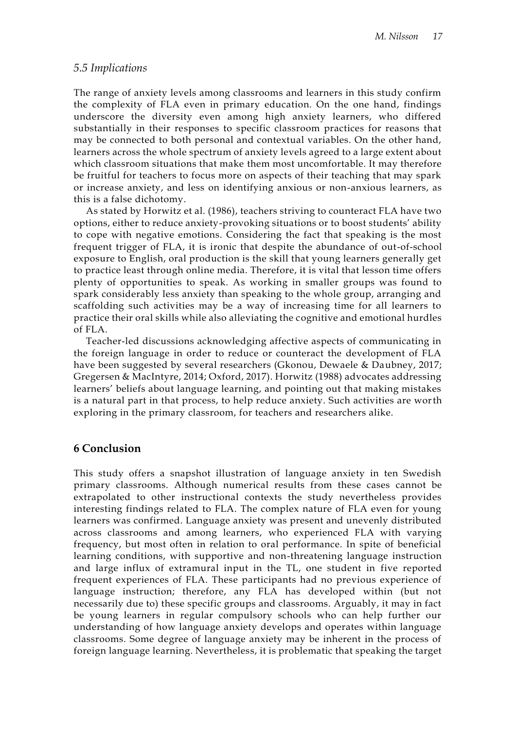#### *5.5 Implications*

The range of anxiety levels among classrooms and learners in this study confirm the complexity of FLA even in primary education. On the one hand, findings underscore the diversity even among high anxiety learners, who differed substantially in their responses to specific classroom practices for reasons that may be connected to both personal and contextual variables. On the other hand, learners across the whole spectrum of anxiety levels agreed to a large extent about which classroom situations that make them most uncomfortable. It may therefore be fruitful for teachers to focus more on aspects of their teaching that may spark or increase anxiety, and less on identifying anxious or non-anxious learners, as this is a false dichotomy.

As stated by Horwitz et al. (1986), teachers striving to counteract FLA have two options, either to reduce anxiety-provoking situations or to boost students' ability to cope with negative emotions. Considering the fact that speaking is the most frequent trigger of FLA, it is ironic that despite the abundance of out-of-school exposure to English, oral production is the skill that young learners generally get to practice least through online media. Therefore, it is vital that lesson time offers plenty of opportunities to speak. As working in smaller groups was found to spark considerably less anxiety than speaking to the whole group, arranging and scaffolding such activities may be a way of increasing time for all learners to practice their oral skills while also alleviating the cognitive and emotional hurdles of FLA.

Teacher-led discussions acknowledging affective aspects of communicating in the foreign language in order to reduce or counteract the development of FLA have been suggested by several researchers (Gkonou, Dewaele & Daubney, 2017; Gregersen & MacIntyre, 2014; Oxford, 2017). Horwitz (1988) advocates addressing learners' beliefs about language learning, and pointing out that making mistakes is a natural part in that process, to help reduce anxiety. Such activities are worth exploring in the primary classroom, for teachers and researchers alike.

## **6 Conclusion**

This study offers a snapshot illustration of language anxiety in ten Swedish primary classrooms. Although numerical results from these cases cannot be extrapolated to other instructional contexts the study nevertheless provides interesting findings related to FLA. The complex nature of FLA even for young learners was confirmed. Language anxiety was present and unevenly distributed across classrooms and among learners, who experienced FLA with varying frequency, but most often in relation to oral performance. In spite of beneficial learning conditions, with supportive and non-threatening language instruction and large influx of extramural input in the TL, one student in five reported frequent experiences of FLA. These participants had no previous experience of language instruction; therefore, any FLA has developed within (but not necessarily due to) these specific groups and classrooms. Arguably, it may in fact be young learners in regular compulsory schools who can help further our understanding of how language anxiety develops and operates within language classrooms. Some degree of language anxiety may be inherent in the process of foreign language learning. Nevertheless, it is problematic that speaking the target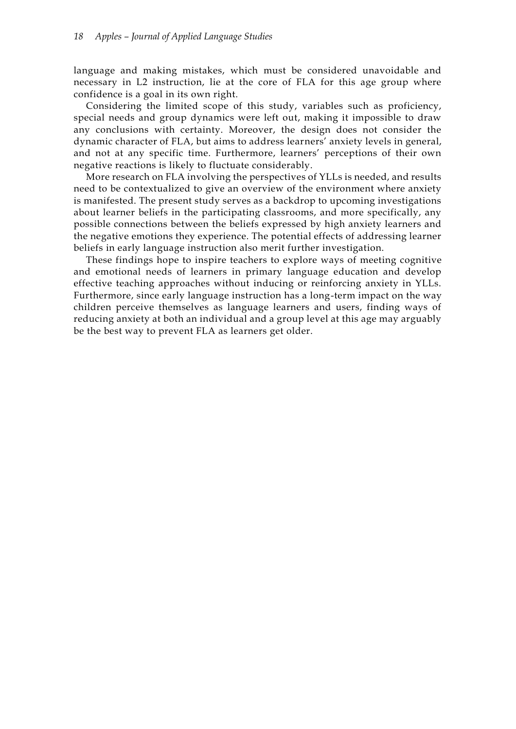language and making mistakes, which must be considered unavoidable and necessary in L2 instruction, lie at the core of FLA for this age group where confidence is a goal in its own right.

Considering the limited scope of this study, variables such as proficiency, special needs and group dynamics were left out, making it impossible to draw any conclusions with certainty. Moreover, the design does not consider the dynamic character of FLA, but aims to address learners' anxiety levels in general, and not at any specific time. Furthermore, learners' perceptions of their own negative reactions is likely to fluctuate considerably.

More research on FLA involving the perspectives of YLLs is needed, and results need to be contextualized to give an overview of the environment where anxiety is manifested. The present study serves as a backdrop to upcoming investigations about learner beliefs in the participating classrooms, and more specifically, any possible connections between the beliefs expressed by high anxiety learners and the negative emotions they experience. The potential effects of addressing learner beliefs in early language instruction also merit further investigation.

These findings hope to inspire teachers to explore ways of meeting cognitive and emotional needs of learners in primary language education and develop effective teaching approaches without inducing or reinforcing anxiety in YLLs. Furthermore, since early language instruction has a long-term impact on the way children perceive themselves as language learners and users, finding ways of reducing anxiety at both an individual and a group level at this age may arguably be the best way to prevent FLA as learners get older.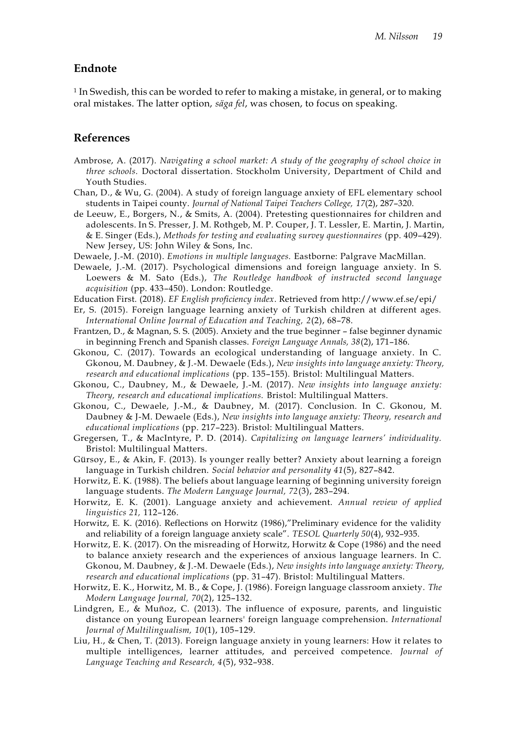## **Endnote**

<sup>1</sup> In Swedish, this can be worded to refer to making a mistake, in general, or to making oral mistakes. The latter option, *säga fel*, was chosen, to focus on speaking.

## **References**

- Ambrose, A. (2017). *Navigating a school market: A study of the geography of school choice in three schools.* Doctoral dissertation. Stockholm University, Department of Child and Youth Studies.
- Chan, D., & Wu, G. (2004). A study of foreign language anxiety of EFL elementary school students in Taipei county. *Journal of National Taipei Teachers College, 17*(2), 287–320.
- de Leeuw, E., Borgers, N., & Smits, A. (2004). Pretesting questionnaires for children and adolescents. In S. Presser, J. M. Rothgeb, M. P. Couper, J. T. Lessler, E. Martin, J. Martin, & E. Singer (Eds.), *Methods for testing and evaluating survey questionnaires* (pp. 409–429)*.*  New Jersey, US: John Wiley & Sons, Inc.
- Dewaele, J.-M. (2010). *Emotions in multiple languages.* Eastborne: Palgrave MacMillan.
- Dewaele, J.-M. (2017). Psychological dimensions and foreign language anxiety. In S. Loewers & M. Sato (Eds.), *The Routledge handbook of instructed second language acquisition* (pp. 433–450). London: Routledge.
- Education First. (2018). *EF English proficiency index*. Retrieved from http://www.ef.se/epi/
- Er, S. (2015). Foreign language learning anxiety of Turkish children at different ages. *International Online Journal of Education and Teaching, 2*(2), 68–78.
- Frantzen, D., & Magnan, S. S. (2005). Anxiety and the true beginner false beginner dynamic in beginning French and Spanish classes. *Foreign Language Annals, 38*(2), 171–186.
- Gkonou, C. (2017). Towards an ecological understanding of language anxiety. In C. Gkonou, M. Daubney, & J.-M. Dewaele (Eds.), *New insights into language anxiety: Theory, research and educational implications* (pp. 135–155)*.* Bristol: Multilingual Matters.
- Gkonou, C., Daubney, M., & Dewaele, J.-M. (2017). *New insights into language anxiety: Theory, research and educational implications.* Bristol: Multilingual Matters.
- Gkonou, C., Dewaele, J.-M., & Daubney, M. (2017). Conclusion. In C. Gkonou, M. Daubney & J-M. Dewaele (Eds.), *New insights into language anxiety: Theory, research and educational implications* (pp. 217–223)*.* Bristol: Multilingual Matters.
- Gregersen, T., & MacIntyre, P. D. (2014). *Capitalizing on language learners' individuality.*  Bristol: Multilingual Matters.
- Gürsoy, E., & Akin, F. (2013). Is younger really better? Anxiety about learning a foreign language in Turkish children. *Social behavior and personality 41*(5), 827–842.
- Horwitz, E. K. (1988). The beliefs about language learning of beginning university foreign language students. *The Modern Language Journal, 72*(3), 283–294.
- Horwitz, E. K. (2001). Language anxiety and achievement. *Annual review of applied linguistics 21,* 112–126.
- Horwitz, E. K. (2016). Reflections on Horwitz (1986),"Preliminary evidence for the validity and reliability of a foreign language anxiety scale". *TESOL Quarterly 50*(4), 932–935.
- Horwitz, E. K. (2017). On the misreading of Horwitz, Horwitz & Cope (1986) and the need to balance anxiety research and the experiences of anxious language learners. In C. Gkonou, M. Daubney, & J.-M. Dewaele (Eds.), *New insights into language anxiety: Theory, research and educational implications* (pp. 31–47)*.* Bristol: Multilingual Matters.
- Horwitz, E. K., Horwitz, M. B., & Cope, J. (1986). Foreign language classroom anxiety. *The Modern Language Journal, 70*(2), 125–132.
- Lindgren, E., & Muñoz, C. (2013). The influence of exposure, parents, and linguistic distance on young European learners' foreign language comprehension. *International Journal of Multilingualism, 10*(1), 105–129.
- Liu, H., & Chen, T. (2013). Foreign language anxiety in young learners: How it relates to multiple intelligences, learner attitudes, and perceived competence. *Journal of Language Teaching and Research, 4*(5), 932–938.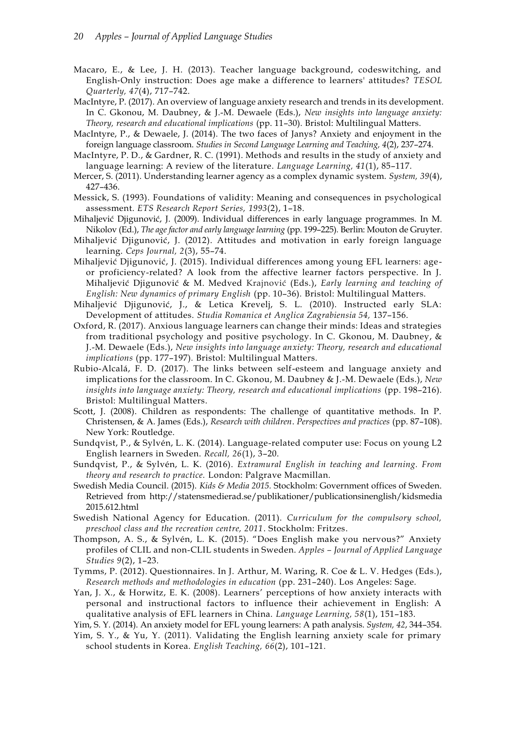- Macaro, E., & Lee, J. H. (2013). Teacher language background, codeswitching, and English‐Only instruction: Does age make a difference to learners' attitudes? *TESOL Quarterly, 47*(4), 717–742.
- MacIntyre, P. (2017). An overview of language anxiety research and trends in its development. In C. Gkonou, M. Daubney, & J.-M. Dewaele (Eds.), *New insights into language anxiety: Theory, research and educational implications* (pp. 11–30)*.* Bristol: Multilingual Matters.
- MacIntyre, P., & Dewaele, J. (2014). The two faces of Janys? Anxiety and enjoyment in the foreign language classroom. *Studies in Second Language Learning and Teaching, 4*(2), 237–274.
- MacIntyre, P. D., & Gardner, R. C. (1991). Methods and results in the study of anxiety and language learning: A review of the literature. *Language Learning, 41*(1), 85–117.
- Mercer, S. (2011). Understanding learner agency as a complex dynamic system. *System, 39*(4), 427–436.
- Messick, S. (1993). Foundations of validity: Meaning and consequences in psychological assessment. *ETS Research Report Series, 1993*(2), 1–18.
- Mihaljević Djigunović, J. (2009). Individual differences in early language programmes. In M. Nikolov (Ed.), *The age factor and early language learning* (pp. 199–225)*.* Berlin: Mouton de Gruyter.
- Mihaljević Djigunović, J. (2012). Attitudes and motivation in early foreign language learning. *Ceps Journal, 2*(3), 55–74.
- Mihaljević Djigunović, J. (2015). Individual differences among young EFL learners: ageor proficiency-related? A look from the affective learner factors perspective. In J. Mihaljević Djigunović & M. Medved Krajnović (Eds.), *Early learning and teaching of English: New dynamics of primary English* (pp. 10–36)*.* Bristol: Multilingual Matters.
- Mihaljević Djigunović, J., & Letica Krevelj, S. L. (2010). Instructed early SLA: Development of attitudes. *Studia Romanica et Anglica Zagrabiensia 54,* 137–156.
- Oxford, R. (2017). Anxious language learners can change their minds: Ideas and strategies from traditional psychology and positive psychology. In C. Gkonou, M. Daubney, & J.-M. Dewaele (Eds.), *New insights into language anxiety: Theory, research and educational implications* (pp. 177–197)*.* Bristol: Multilingual Matters.
- Rubio-Alcalá, F. D. (2017). The links between self-esteem and language anxiety and implications for the classroom. In C. Gkonou, M. Daubney & J.-M. Dewaele (Eds.), *New insights into language anxiety: Theory, research and educational implications* (pp. 198–216)*.* Bristol: Multilingual Matters.
- Scott, J. (2008). Children as respondents: The challenge of quantitative methods. In P. Christensen, & A. James (Eds.), *Research with children*. *Perspectives and practices* (pp. 87–108). New York: Routledge.
- Sundqvist, P., & Sylvén, L. K. (2014). Language-related computer use: Focus on young L2 English learners in Sweden. *Recall, 26*(1), 3–20.
- Sundqvist, P., & Sylvén, L. K. (2016). *Extramural English in teaching and learning. From theory and research to practice.* London: Palgrave Macmillan.
- Swedish Media Council. (2015). *Kids & Media 2015.* Stockholm: Government offices of Sweden. Retrieved from http://statensmedierad.se/publikationer/publicationsinenglish/kidsmedia 2015.612.html
- Swedish National Agency for Education. (2011). *Curriculum for the compulsory school, preschool class and the recreation centre, 2011*. Stockholm: Fritzes.
- Thompson, A. S., & Sylvén, L. K. (2015). "Does English make you nervous?" Anxiety profiles of CLIL and non-CLIL students in Sweden. *Apples – Journal of Applied Language Studies 9*(2), 1–23.
- Tymms, P. (2012). Questionnaires. In J. Arthur, M. Waring, R. Coe & L. V. Hedges (Eds.), *Research methods and methodologies in education* (pp. 231–240). Los Angeles: Sage.
- Yan, J. X., & Horwitz, E. K. (2008). Learners' perceptions of how anxiety interacts with personal and instructional factors to influence their achievement in English: A qualitative analysis of EFL learners in China. *Language Learning, 58*(1), 151–183.
- Yim, S. Y. (2014). An anxiety model for EFL young learners: A path analysis. *System, 42*, 344–354.
- Yim, S. Y., & Yu, Y. (2011). Validating the English learning anxiety scale for primary school students in Korea. *English Teaching, 66*(2), 101–121.